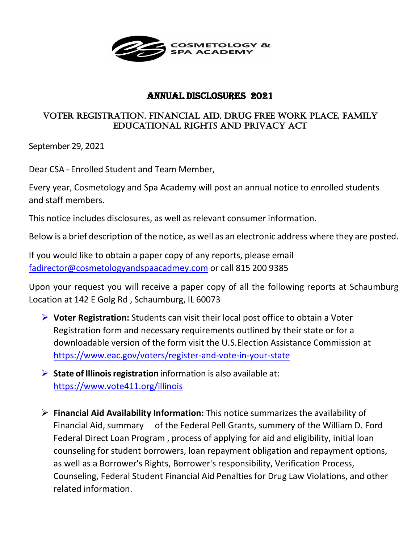

## Annual Disclosures 2021

## Voter registration, Financial aid, drug Free Work Place, Family educational rights and Privacy act

September 29, 2021

Dear CSA - Enrolled Student and Team Member,

Every year, Cosmetology and Spa Academy will post an annual notice to enrolled students and staff members.

This notice includes disclosures, as well as relevant consumer information.

Below is a brief description of the notice, as well as an electronic address where they are posted.

If you would like to obtain a paper copy of any reports, please email [fadirector@cosmetologyandspaacadmey.com](mailto:fadirector@cosmetologyandspaacadmey.com) or call 815 200 9385

Upon your request you will receive a paper copy of all the following reports at Schaumburg Location at 142 E Golg Rd , Schaumburg, IL 60073

- **Voter Registration:** Students can visit their local post office to obtain a Voter Registration form and necessary requirements outlined by their state or for a downloadable version of the form visit the U.S.Election Assistance Commission at <https://www.eac.gov/voters/register-and-vote-in-your-state>
- **State of Illinois registration** information is also available at: <https://www.vote411.org/illinois>
- **Financial Aid Availability Information:** This notice summarizes the availability of Financial Aid, summary of the Federal Pell Grants, summery of the William D. Ford Federal Direct Loan Program , process of applying for aid and eligibility, initial loan counseling for student borrowers, loan repayment obligation and repayment options, as well as a Borrower's Rights, Borrower's responsibility, Verification Process, Counseling, Federal Student Financial Aid Penalties for Drug Law Violations, and other related information.